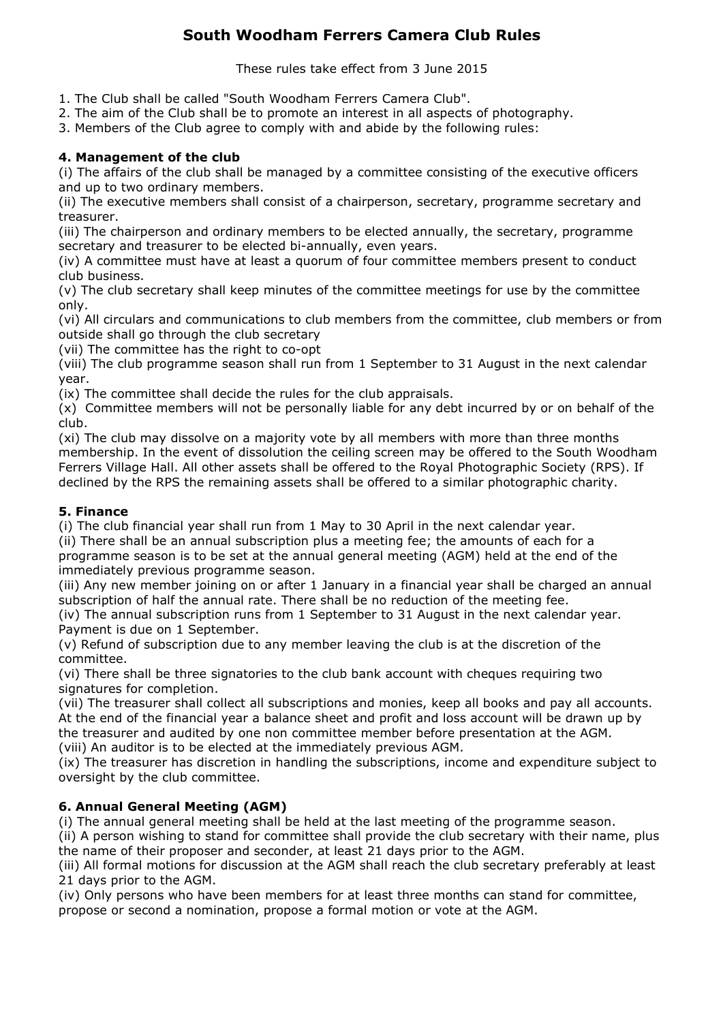# **South Woodham Ferrers Camera Club Rules**

These rules take effect from 3 June 2015

- 1. The Club shall be called "South Woodham Ferrers Camera Club".
- 2. The aim of the Club shall be to promote an interest in all aspects of photography.
- 3. Members of the Club agree to comply with and abide by the following rules:

## **4. Management of the club**

(i) The affairs of the club shall be managed by a committee consisting of the executive officers and up to two ordinary members.

(ii) The executive members shall consist of a chairperson, secretary, programme secretary and treasurer.

(iii) The chairperson and ordinary members to be elected annually, the secretary, programme secretary and treasurer to be elected bi-annually, even years.

(iv) A committee must have at least a quorum of four committee members present to conduct club business.

(v) The club secretary shall keep minutes of the committee meetings for use by the committee only.

(vi) All circulars and communications to club members from the committee, club members or from outside shall go through the club secretary

(vii) The committee has the right to co-opt

(viii) The club programme season shall run from 1 September to 31 August in the next calendar year.

 $(ix)$  The committee shall decide the rules for the club appraisals.

(x) Committee members will not be personally liable for any debt incurred by or on behalf of the club.

(xi) The club may dissolve on a majority vote by all members with more than three months membership. In the event of dissolution the ceiling screen may be offered to the South Woodham Ferrers Village Hall. All other assets shall be offered to the Royal Photographic Society (RPS). If declined by the RPS the remaining assets shall be offered to a similar photographic charity.

### **5. Finance**

(i) The club financial year shall run from  $1$  May to 30 April in the next calendar year.

(ii) There shall be an annual subscription plus a meeting fee; the amounts of each for a programme season is to be set at the annual general meeting (AGM) held at the end of the immediately previous programme season.

(iii) Any new member joining on or after 1 January in a financial year shall be charged an annual subscription of half the annual rate. There shall be no reduction of the meeting fee.

(iv) The annual subscription runs from  $1$  September to  $31$  August in the next calendar year. Payment is due on 1 September.

(v) Refund of subscription due to any member leaving the club is at the discretion of the committee.

(vi) There shall be three signatories to the club bank account with cheques requiring two signatures for completion.

(vii) The treasurer shall collect all subscriptions and monies, keep all books and pay all accounts. At the end of the financial year a balance sheet and profit and loss account will be drawn up by the treasurer and audited by one non committee member before presentation at the AGM. (viii) An auditor is to be elected at the immediately previous AGM.

(ix) The treasurer has discretion in handling the subscriptions, income and expenditure subject to oversight by the club committee.

## **6. Annual General Meeting (AGM)**

(i) The annual general meeting shall be held at the last meeting of the programme season.

(ii) A person wishing to stand for committee shall provide the club secretary with their name, plus the name of their proposer and seconder, at least 21 days prior to the AGM.

(iii) All formal motions for discussion at the AGM shall reach the club secretary preferably at least 21 days prior to the AGM.

(iv) Only persons who have been members for at least three months can stand for committee, propose or second a nomination, propose a formal motion or vote at the AGM.